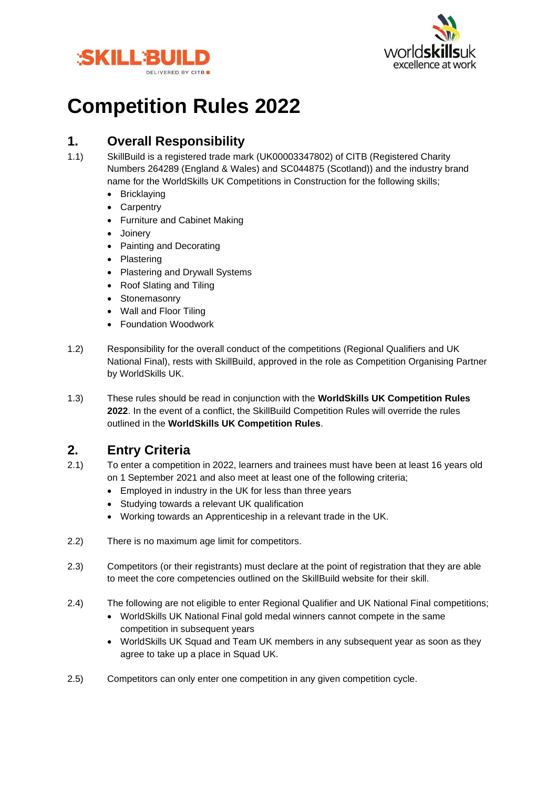



# **Competition Rules 2022**

# **1. Overall Responsibility**

- 1.1) SkillBuild is a registered trade mark (UK00003347802) of CITB (Registered Charity Numbers 264289 (England & Wales) and SC044875 (Scotland)) and the industry brand name for the WorldSkills UK Competitions in Construction for the following skills;
	- Bricklaying
	- **Carpentry**
	- Furniture and Cabinet Making
	- Joinery
	- Painting and Decorating
	- Plastering
	- Plastering and Drywall Systems
	- Roof Slating and Tiling
	- Stonemasonry
	- Wall and Floor Tiling
	- Foundation Woodwork
- 1.2) Responsibility for the overall conduct of the competitions (Regional Qualifiers and UK National Final), rests with SkillBuild, approved in the role as Competition Organising Partner by WorldSkills UK.
- 1.3) These rules should be read in conjunction with the **WorldSkills UK Competition Rules 2022**. In the event of a conflict, the SkillBuild Competition Rules will override the rules outlined in the **WorldSkills UK Competition Rules**.

# **2. Entry Criteria**

- 2.1) To enter a competition in 2022, learners and trainees must have been at least 16 years old on 1 September 2021 and also meet at least one of the following criteria;
	- Employed in industry in the UK for less than three years
	- Studying towards a relevant UK qualification
	- Working towards an Apprenticeship in a relevant trade in the UK.
- 2.2) There is no maximum age limit for competitors.
- 2.3) Competitors (or their registrants) must declare at the point of registration that they are able to meet the core competencies outlined on the SkillBuild website for their skill.
- 2.4) The following are not eligible to enter Regional Qualifier and UK National Final competitions;
	- WorldSkills UK National Final gold medal winners cannot compete in the same competition in subsequent years
	- WorldSkills UK Squad and Team UK members in any subsequent year as soon as they agree to take up a place in Squad UK.
- 2.5) Competitors can only enter one competition in any given competition cycle.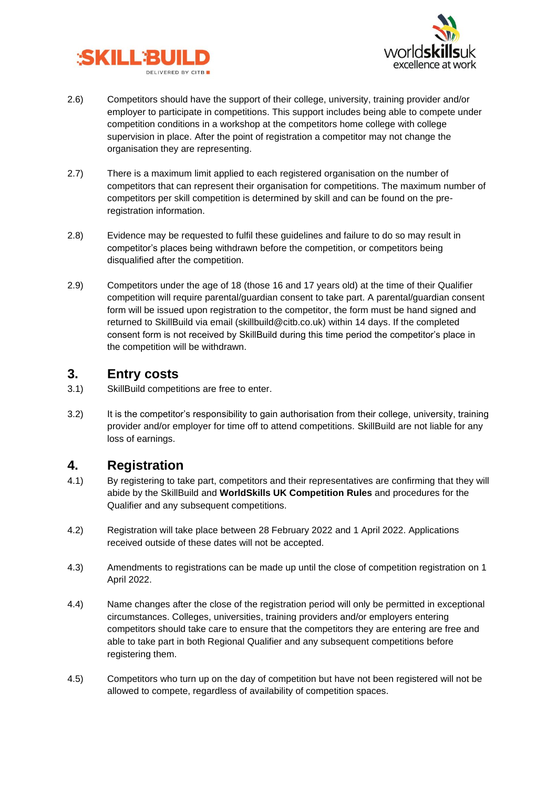



- 2.6) Competitors should have the support of their college, university, training provider and/or employer to participate in competitions. This support includes being able to compete under competition conditions in a workshop at the competitors home college with college supervision in place. After the point of registration a competitor may not change the organisation they are representing.
- 2.7) There is a maximum limit applied to each registered organisation on the number of competitors that can represent their organisation for competitions. The maximum number of competitors per skill competition is determined by skill and can be found on the preregistration information.
- 2.8) Evidence may be requested to fulfil these guidelines and failure to do so may result in competitor's places being withdrawn before the competition, or competitors being disqualified after the competition.
- 2.9) Competitors under the age of 18 (those 16 and 17 years old) at the time of their Qualifier competition will require parental/guardian consent to take part. A parental/guardian consent form will be issued upon registration to the competitor, the form must be hand signed and returned to SkillBuild via email (skillbuild@citb.co.uk) within 14 days. If the completed consent form is not received by SkillBuild during this time period the competitor's place in the competition will be withdrawn.

#### **3. Entry costs**

- 3.1) SkillBuild competitions are free to enter.
- 3.2) It is the competitor's responsibility to gain authorisation from their college, university, training provider and/or employer for time off to attend competitions. SkillBuild are not liable for any loss of earnings.

# **4. Registration**

- 4.1) By registering to take part, competitors and their representatives are confirming that they will abide by the SkillBuild and **WorldSkills UK Competition Rules** and procedures for the Qualifier and any subsequent competitions.
- 4.2) Registration will take place between 28 February 2022 and 1 April 2022. Applications received outside of these dates will not be accepted.
- 4.3) Amendments to registrations can be made up until the close of competition registration on 1 April 2022.
- 4.4) Name changes after the close of the registration period will only be permitted in exceptional circumstances. Colleges, universities, training providers and/or employers entering competitors should take care to ensure that the competitors they are entering are free and able to take part in both Regional Qualifier and any subsequent competitions before registering them.
- 4.5) Competitors who turn up on the day of competition but have not been registered will not be allowed to compete, regardless of availability of competition spaces.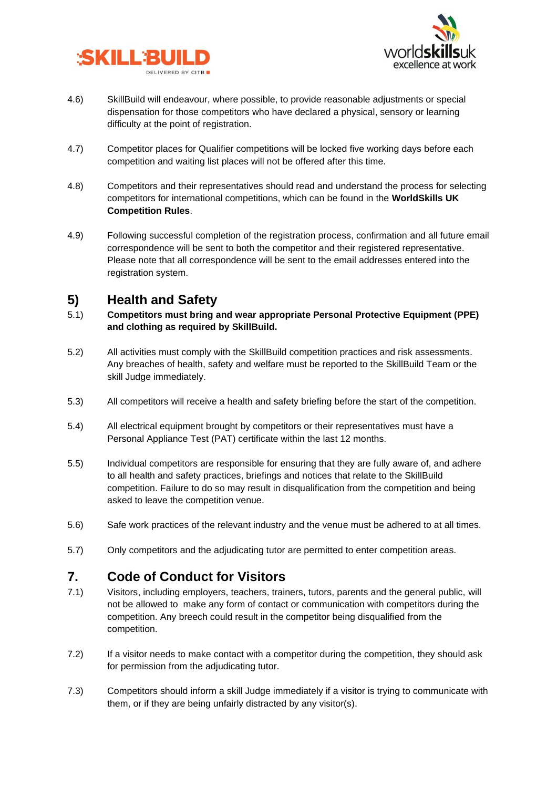



- 4.6) SkillBuild will endeavour, where possible, to provide reasonable adjustments or special dispensation for those competitors who have declared a physical, sensory or learning difficulty at the point of registration.
- 4.7) Competitor places for Qualifier competitions will be locked five working days before each competition and waiting list places will not be offered after this time.
- 4.8) Competitors and their representatives should read and understand the process for selecting competitors for international competitions, which can be found in the **WorldSkills UK Competition Rules**.
- 4.9) Following successful completion of the registration process, confirmation and all future email correspondence will be sent to both the competitor and their registered representative. Please note that all correspondence will be sent to the email addresses entered into the registration system.

### **5) Health and Safety**

- 5.1) **Competitors must bring and wear appropriate Personal Protective Equipment (PPE) and clothing as required by SkillBuild.**
- 5.2) All activities must comply with the SkillBuild competition practices and risk assessments. Any breaches of health, safety and welfare must be reported to the SkillBuild Team or the skill Judge immediately.
- 5.3) All competitors will receive a health and safety briefing before the start of the competition.
- 5.4) All electrical equipment brought by competitors or their representatives must have a Personal Appliance Test (PAT) certificate within the last 12 months.
- 5.5) Individual competitors are responsible for ensuring that they are fully aware of, and adhere to all health and safety practices, briefings and notices that relate to the SkillBuild competition. Failure to do so may result in disqualification from the competition and being asked to leave the competition venue.
- 5.6) Safe work practices of the relevant industry and the venue must be adhered to at all times.
- 5.7) Only competitors and the adjudicating tutor are permitted to enter competition areas.

### **7. Code of Conduct for Visitors**

- 7.1) Visitors, including employers, teachers, trainers, tutors, parents and the general public, will not be allowed to make any form of contact or communication with competitors during the competition. Any breech could result in the competitor being disqualified from the competition.
- 7.2) If a visitor needs to make contact with a competitor during the competition, they should ask for permission from the adjudicating tutor.
- 7.3) Competitors should inform a skill Judge immediately if a visitor is trying to communicate with them, or if they are being unfairly distracted by any visitor(s).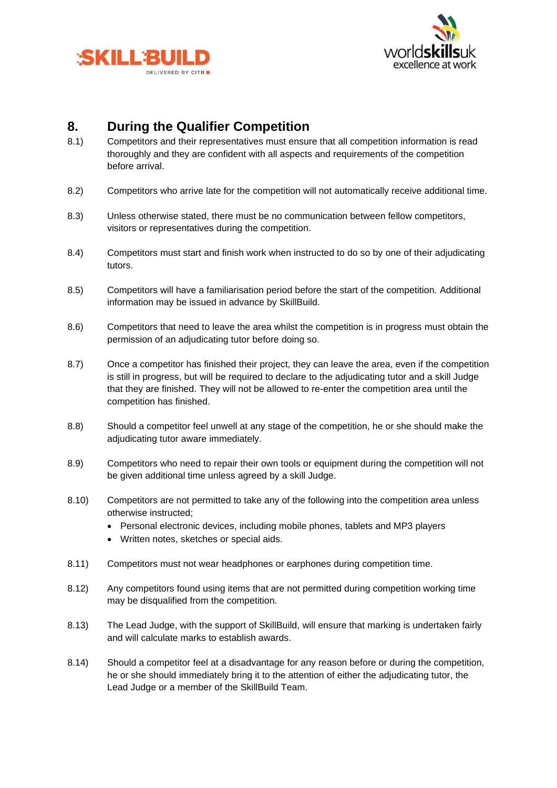



# **8. During the Qualifier Competition**

- 8.1) Competitors and their representatives must ensure that all competition information is read thoroughly and they are confident with all aspects and requirements of the competition before arrival.
- 8.2) Competitors who arrive late for the competition will not automatically receive additional time.
- 8.3) Unless otherwise stated, there must be no communication between fellow competitors, visitors or representatives during the competition.
- 8.4) Competitors must start and finish work when instructed to do so by one of their adjudicating tutors.
- 8.5) Competitors will have a familiarisation period before the start of the competition. Additional information may be issued in advance by SkillBuild.
- 8.6) Competitors that need to leave the area whilst the competition is in progress must obtain the permission of an adjudicating tutor before doing so.
- 8.7) Once a competitor has finished their project, they can leave the area, even if the competition is still in progress, but will be required to declare to the adjudicating tutor and a skill Judge that they are finished. They will not be allowed to re-enter the competition area until the competition has finished.
- 8.8) Should a competitor feel unwell at any stage of the competition, he or she should make the adjudicating tutor aware immediately.
- 8.9) Competitors who need to repair their own tools or equipment during the competition will not be given additional time unless agreed by a skill Judge.
- 8.10) Competitors are not permitted to take any of the following into the competition area unless otherwise instructed;
	- Personal electronic devices, including mobile phones, tablets and MP3 players
	- Written notes, sketches or special aids.
- 8.11) Competitors must not wear headphones or earphones during competition time.
- 8.12) Any competitors found using items that are not permitted during competition working time may be disqualified from the competition.
- 8.13) The Lead Judge, with the support of SkillBuild, will ensure that marking is undertaken fairly and will calculate marks to establish awards.
- 8.14) Should a competitor feel at a disadvantage for any reason before or during the competition, he or she should immediately bring it to the attention of either the adjudicating tutor, the Lead Judge or a member of the SkillBuild Team.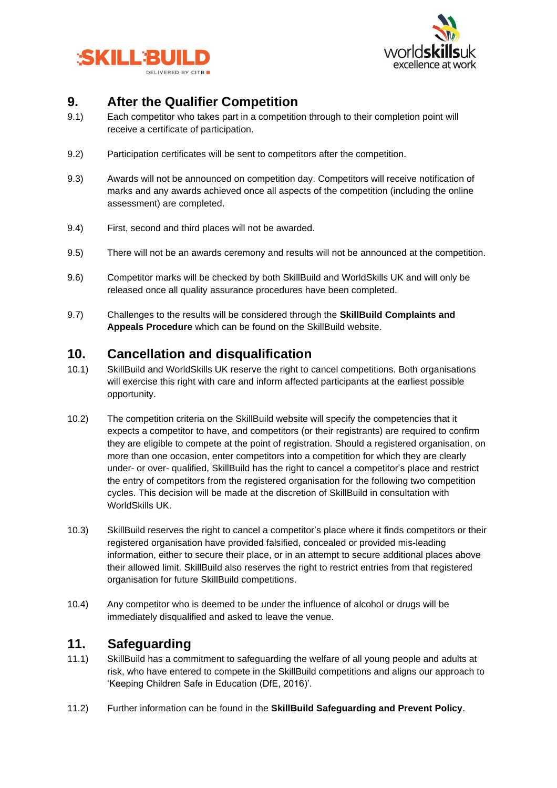



### **9. After the Qualifier Competition**

- 9.1) Each competitor who takes part in a competition through to their completion point will receive a certificate of participation.
- 9.2) Participation certificates will be sent to competitors after the competition.
- 9.3) Awards will not be announced on competition day. Competitors will receive notification of marks and any awards achieved once all aspects of the competition (including the online assessment) are completed.
- 9.4) First, second and third places will not be awarded.
- 9.5) There will not be an awards ceremony and results will not be announced at the competition.
- 9.6) Competitor marks will be checked by both SkillBuild and WorldSkills UK and will only be released once all quality assurance procedures have been completed.
- 9.7) Challenges to the results will be considered through the **SkillBuild Complaints and Appeals Procedure** which can be found on the SkillBuild website.

#### **10. Cancellation and disqualification**

- 10.1) SkillBuild and WorldSkills UK reserve the right to cancel competitions. Both organisations will exercise this right with care and inform affected participants at the earliest possible opportunity.
- 10.2) The competition criteria on the SkillBuild website will specify the competencies that it expects a competitor to have, and competitors (or their registrants) are required to confirm they are eligible to compete at the point of registration. Should a registered organisation, on more than one occasion, enter competitors into a competition for which they are clearly under- or over- qualified, SkillBuild has the right to cancel a competitor's place and restrict the entry of competitors from the registered organisation for the following two competition cycles. This decision will be made at the discretion of SkillBuild in consultation with WorldSkills UK.
- 10.3) SkillBuild reserves the right to cancel a competitor's place where it finds competitors or their registered organisation have provided falsified, concealed or provided mis-leading information, either to secure their place, or in an attempt to secure additional places above their allowed limit. SkillBuild also reserves the right to restrict entries from that registered organisation for future SkillBuild competitions.
- 10.4) Any competitor who is deemed to be under the influence of alcohol or drugs will be immediately disqualified and asked to leave the venue.

#### **11. Safeguarding**

- 11.1) SkillBuild has a commitment to safeguarding the welfare of all young people and adults at risk, who have entered to compete in the SkillBuild competitions and aligns our approach to 'Keeping Children Safe in Education (DfE, 2016)'.
- 11.2) Further information can be found in the **SkillBuild Safeguarding and Prevent Policy**.